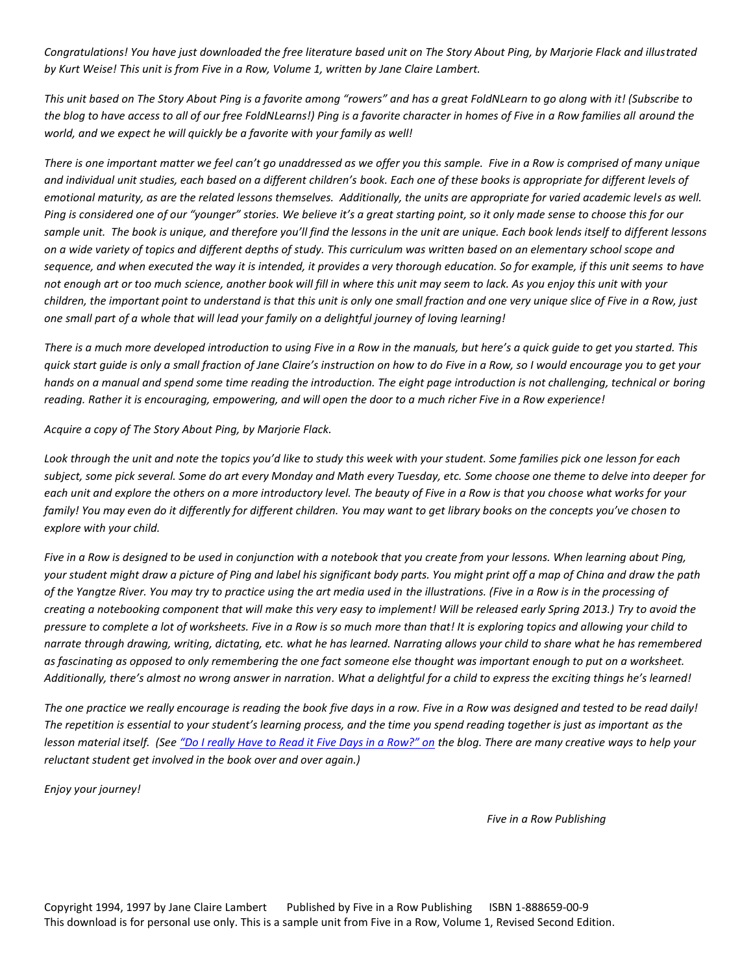*Congratulations! You have just downloaded the free literature based unit on The Story About Ping, by Marjorie Flack and illustrated by Kurt Weise! This unit is from Five in a Row, Volume 1, written by Jane Claire Lambert.*

*This unit based on The Story About Ping is a favorite among "rowers" and has a great FoldNLearn to go along with it! (Subscribe to the blog to have access to all of our free FoldNLearns!) Ping is a favorite character in homes of Five in a Row families all around the world, and we expect he will quickly be a favorite with your family as well!* 

*There is one important matter we feel can't go unaddressed as we offer you this sample. Five in a Row is comprised of many unique and individual unit studies, each based on a different children's book. Each one of these books is appropriate for different levels of emotional maturity, as are the related lessons themselves. Additionally, the units are appropriate for varied academic levels as well. Ping is considered one of our "younger" stories. We believe it's a great starting point, so it only made sense to choose this for our sample unit. The book is unique, and therefore you'll find the lessons in the unit are unique. Each book lends itself to different lessons on a wide variety of topics and different depths of study. This curriculum was written based on an elementary school scope and sequence, and when executed the way it is intended, it provides a very thorough education. So for example, if this unit seems to have not enough art or too much science, another book will fill in where this unit may seem to lack. As you enjoy this unit with your children, the important point to understand is that this unit is only one small fraction and one very unique slice of Five in a Row, just one small part of a whole that will lead your family on a delightful journey of loving learning!*

*There is a much more developed introduction to using Five in a Row in the manuals, but here's a quick guide to get you started. This quick start guide is only a small fraction of Jane Claire's instruction on how to do Five in a Row, so I would encourage you to get your hands on a manual and spend some time reading the introduction. The eight page introduction is not challenging, technical or boring reading. Rather it is encouraging, empowering, and will open the door to a much richer Five in a Row experience!*

*Acquire a copy of The Story About Ping, by Marjorie Flack.* 

*Look through the unit and note the topics you'd like to study this week with your student. Some families pick one lesson for each subject, some pick several. Some do art every Monday and Math every Tuesday, etc. Some choose one theme to delve into deeper for each unit and explore the others on a more introductory level. The beauty of Five in a Row is that you choose what works for your family! You may even do it differently for different children. You may want to get library books on the concepts you've chosen to explore with your child.*

*Five in a Row is designed to be used in conjunction with a notebook that you create from your lessons. When learning about Ping, your student might draw a picture of Ping and label his significant body parts. You might print off a map of China and draw the path*  of the Yangtze River. You may try to practice using the art media used in the illustrations. (Five in a Row is in the processing of *creating a notebooking component that will make this very easy to implement! Will be released early Spring 2013.) Try to avoid the pressure to complete a lot of worksheets. Five in a Row is so much more than that! It is exploring topics and allowing your child to narrate through drawing, writing, dictating, etc. what he has learned. Narrating allows your child to share what he has remembered as fascinating as opposed to only remembering the one fact someone else thought was important enough to put on a worksheet. Additionally, there's almost no wrong answer in narration. What a delightful for a child to express the exciting things he's learned!*

*The one practice we really encourage is reading the book five days in a row. Five in a Row was designed and tested to be read daily! The repetition is essential to your student's learning process, and the time you spend reading together is just as important as the lesson material itself. (See ["Do I really Have to Read it Five Days in a Row?" on](http://fiveinarow.com/blog/2012/12/08/theres-a-reason-its-called-five-in-a-row/) the blog. There are many creative ways to help your reluctant student get involved in the book over and over again.)*

*Enjoy your journey!*

*Five in a Row Publishing*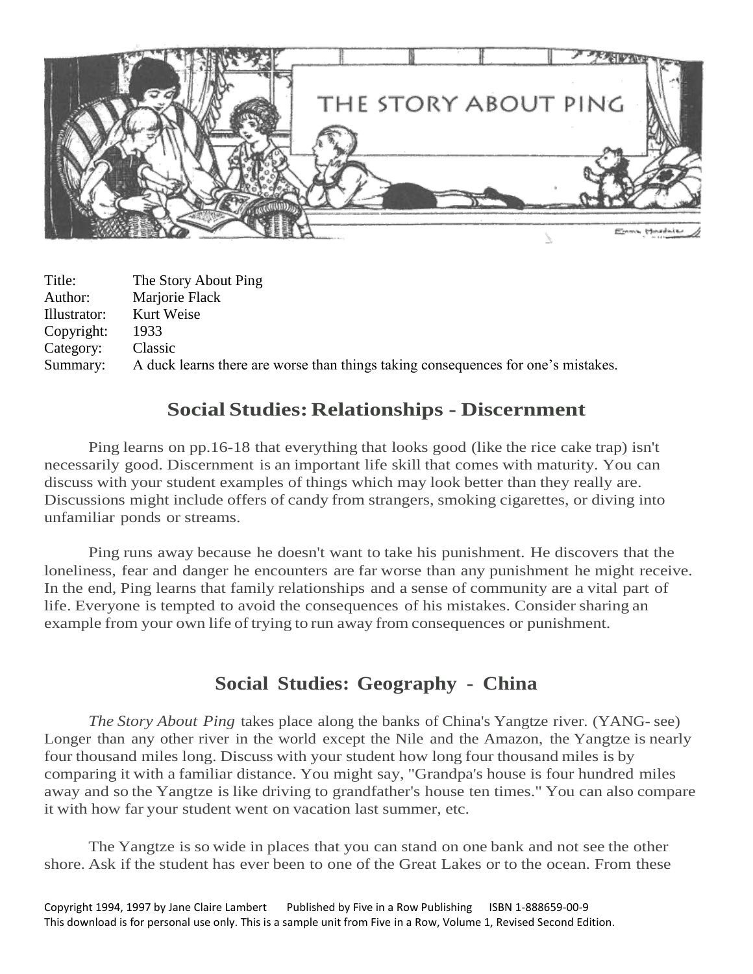

| Title:       | The Story About Ping                                                              |
|--------------|-----------------------------------------------------------------------------------|
| Author:      | Marjorie Flack                                                                    |
| Illustrator: | Kurt Weise                                                                        |
| Copyright:   | 1933                                                                              |
| Category:    | Classic                                                                           |
| Summary:     | A duck learns there are worse than things taking consequences for one's mistakes. |

## **Social Studies:Relationships - Discernment**

Ping learns on pp.16-18 that everything that looks good (like the rice cake trap) isn't necessarily good. Discernment is an important life skill that comes with maturity. You can discuss with your student examples of things which may look better than they really are. Discussions might include offers of candy from strangers, smoking cigarettes, or diving into unfamiliar ponds or streams.

Ping runs away because he doesn't want to take his punishment. He discovers that the loneliness, fear and danger he encounters are far worse than any punishment he might receive. In the end, Ping learns that family relationships and a sense of community are a vital part of life. Everyone is tempted to avoid the consequences of his mistakes. Consider sharing an example from your own life of trying to run away from consequences or punishment.

# **Social Studies: Geography - China**

*The Story About Ping* takes place along the banks of China's Yangtze river. (YANG- see) Longer than any other river in the world except the Nile and the Amazon, the Yangtze is nearly four thousand miles long. Discuss with your student how long four thousand miles is by comparing it with a familiar distance. You might say, "Grandpa's house is four hundred miles away and so the Yangtze is like driving to grandfather's house ten times." You can also compare it with how far your student went on vacation last summer, etc.

The Yangtze is so wide in places that you can stand on one bank and not see the other shore. Ask if the student has ever been to one of the Great Lakes or to the ocean. From these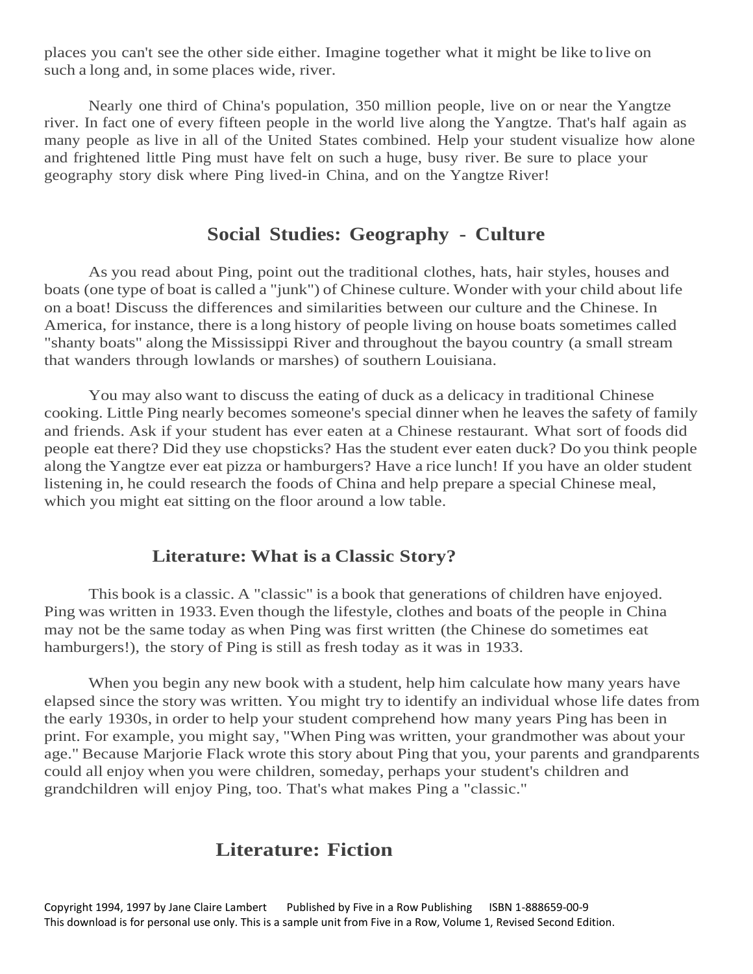places you can't see the other side either. Imagine together what it might be like to live on such a long and, in some places wide, river.

Nearly one third of China's population, 350 million people, live on or near the Yangtze river. In fact one of every fifteen people in the world live along the Yangtze. That's half again as many people as live in all of the United States combined. Help your student visualize how alone and frightened little Ping must have felt on such a huge, busy river. Be sure to place your geography story disk where Ping lived-in China, and on the Yangtze River!

### **Social Studies: Geography - Culture**

As you read about Ping, point out the traditional clothes, hats, hair styles, houses and boats (one type of boat is called a "junk") of Chinese culture. Wonder with your child about life on a boat! Discuss the differences and similarities between our culture and the Chinese. In America, for instance, there is a long history of people living on house boats sometimes called "shanty boats" along the Mississippi River and throughout the bayou country (a small stream that wanders through lowlands or marshes) of southern Louisiana.

You may also want to discuss the eating of duck as a delicacy in traditional Chinese cooking. Little Ping nearly becomes someone's special dinner when he leavesthe safety of family and friends. Ask if your student has ever eaten at a Chinese restaurant. What sort of foods did people eat there? Did they use chopsticks? Has the student ever eaten duck? Do you think people along the Yangtze ever eat pizza or hamburgers? Have a rice lunch! If you have an older student listening in, he could research the foods of China and help prepare a special Chinese meal, which you might eat sitting on the floor around a low table.

#### **Literature: What is a Classic Story?**

This book is a classic. A "classic" is a book that generations of children have enjoyed. Ping was written in 1933.Even though the lifestyle, clothes and boats of the people in China may not be the same today as when Ping was first written (the Chinese do sometimes eat hamburgers!), the story of Ping is still as fresh today as it was in 1933.

When you begin any new book with a student, help him calculate how many years have elapsed since the story was written. You might try to identify an individual whose life dates from the early 1930s, in order to help your student comprehend how many years Ping has been in print. For example, you might say, "When Ping was written, your grandmother was about your age." Because Marjorie Flack wrote this story about Ping that you, your parents and grandparents could all enjoy when you were children, someday, perhaps your student's children and grandchildren will enjoy Ping, too. That's what makes Ping a "classic."

### **Literature: Fiction**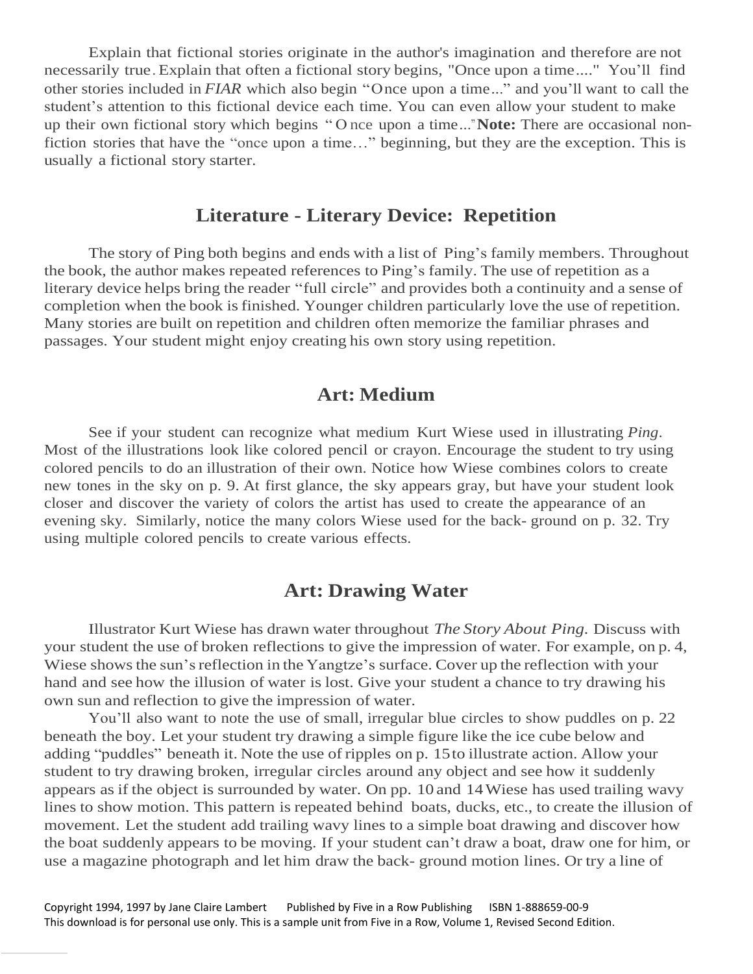Explain that fictional stories originate in the author's imagination and therefore are not necessarily true.Explain that often a fictional story begins, "Once upon a time...." You'll find other stories included in *FIAR* which also begin "Once upon a time..." and you'll want to call the student's attention to this fictional device each time. You can even allow your student to make up their own fictional story which begins " O nce upon a time..." **Note:** There are occasional nonfiction stories that have the "once upon a time…" beginning, but they are the exception. This is usually a fictional story starter.

#### **Literature - Literary Device: Repetition**

The story of Ping both begins and ends with a list of Ping's family members. Throughout the book, the author makes repeated references to Ping's family. The use of repetition as a literary device helps bring the reader "full circle" and provides both a continuity and a sense of completion when the book isfinished. Younger children particularly love the use of repetition. Many stories are built on repetition and children often memorize the familiar phrases and passages. Your student might enjoy creating his own story using repetition.

#### **Art: Medium**

See if your student can recognize what medium Kurt Wiese used in illustrating *Ping*. Most of the illustrations look like colored pencil or crayon. Encourage the student to try using colored pencils to do an illustration of their own. Notice how Wiese combines colors to create new tones in the sky on p. 9. At first glance, the sky appears gray, but have your student look closer and discover the variety of colors the artist has used to create the appearance of an evening sky. Similarly, notice the many colors Wiese used for the back- ground on p. 32. Try using multiple colored pencils to create various effects.

### **Art: Drawing Water**

Illustrator Kurt Wiese has drawn water throughout *The Story About Ping.* Discuss with your student the use of broken reflections to give the impression of water. For example, on p. 4, Wiese shows the sun's reflection in the Yangtze's surface. Cover up the reflection with your hand and see how the illusion of water is lost. Give your student a chance to try drawing his own sun and reflection to give the impression of water.

You'll also want to note the use of small, irregular blue circles to show puddles on p. 22 beneath the boy. Let your student try drawing a simple figure like the ice cube below and adding "puddles" beneath it. Note the use of ripples on p. 15to illustrate action. Allow your student to try drawing broken, irregular circles around any object and see how it suddenly appears as if the object is surrounded by water. On pp. 10 and 14Wiese has used trailing wavy lines to show motion. This pattern is repeated behind boats, ducks, etc., to create the illusion of movement. Let the student add trailing wavy lines to a simple boat drawing and discover how the boat suddenly appears to be moving. If your student can't draw a boat, draw one for him, or use a magazine photograph and let him draw the back- ground motion lines. Or try a line of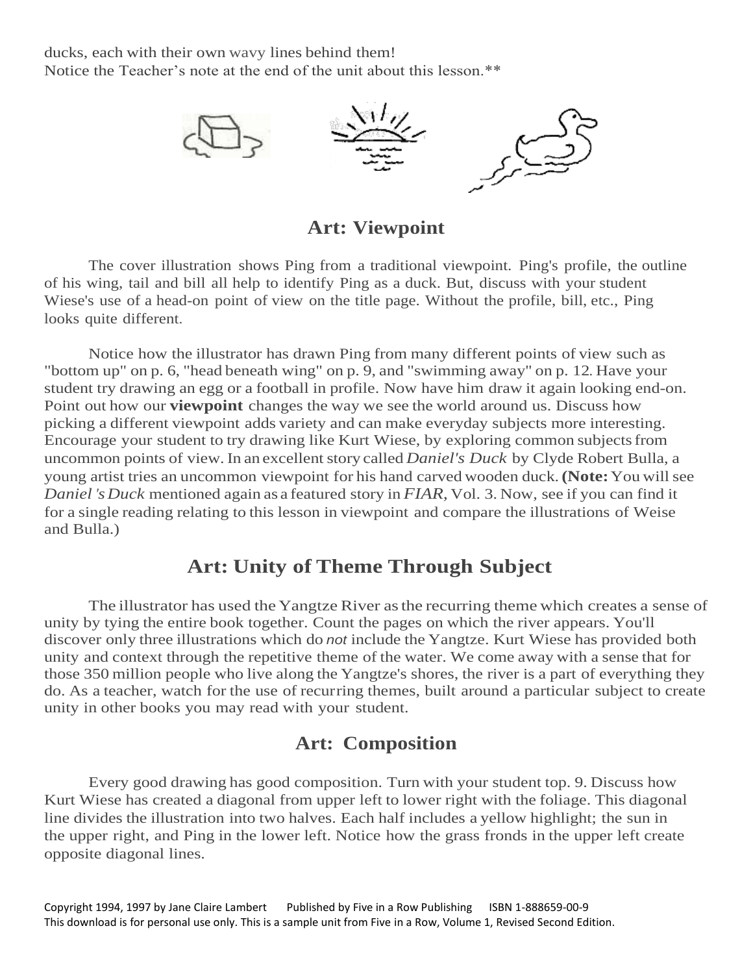ducks, each with their own wavy lines behind them! Notice the Teacher's note at the end of the unit about this lesson.\*\*



**Art: Viewpoint**

The cover illustration shows Ping from a traditional viewpoint. Ping's profile, the outline of his wing, tail and bill all help to identify Ping as a duck. But, discuss with your student Wiese's use of a head-on point of view on the title page. Without the profile, bill, etc., Ping looks quite different.

Notice how the illustrator has drawn Ping from many different points of view such as "bottom up" on p. 6, "head beneath wing" on p. 9, and "swimming away" on p. 12. Have your student try drawing an egg or a football in profile. Now have him draw it again looking end-on. Point out how our **viewpoint** changes the way we see the world around us. Discuss how picking a different viewpoint adds variety and can make everyday subjects more interesting. Encourage your student to try drawing like Kurt Wiese, by exploring common subjectsfrom uncommon points of view. In an excellent story called *Daniel's Duck* by Clyde Robert Bulla, a young artist tries an uncommon viewpoint for his hand carved wooden duck.**(Note:**You willsee *Daniel 'sDuck* mentioned again as a featured story in *FIAR,* Vol. 3. Now, see if you can find it for a single reading relating to this lesson in viewpoint and compare the illustrations of Weise and Bulla.)

## **Art: Unity of Theme Through Subject**

The illustrator has used the Yangtze River asthe recurring theme which creates a sense of unity by tying the entire book together. Count the pages on which the river appears. You'll discover only three illustrations which do *not* include the Yangtze. Kurt Wiese has provided both unity and context through the repetitive theme of the water. We come away with a sense that for those 350 million people who live along the Yangtze's shores, the river is a part of everything they do. As a teacher, watch for the use of recurring themes, built around a particular subject to create unity in other books you may read with your student.

## **Art: Composition**

Every good drawing has good composition. Turn with your student top. 9. Discuss how Kurt Wiese has created a diagonal from upper left to lower right with the foliage. This diagonal line divides the illustration into two halves. Each half includes a yellow highlight; the sun in the upper right, and Ping in the lower left. Notice how the grass fronds in the upper left create opposite diagonal lines.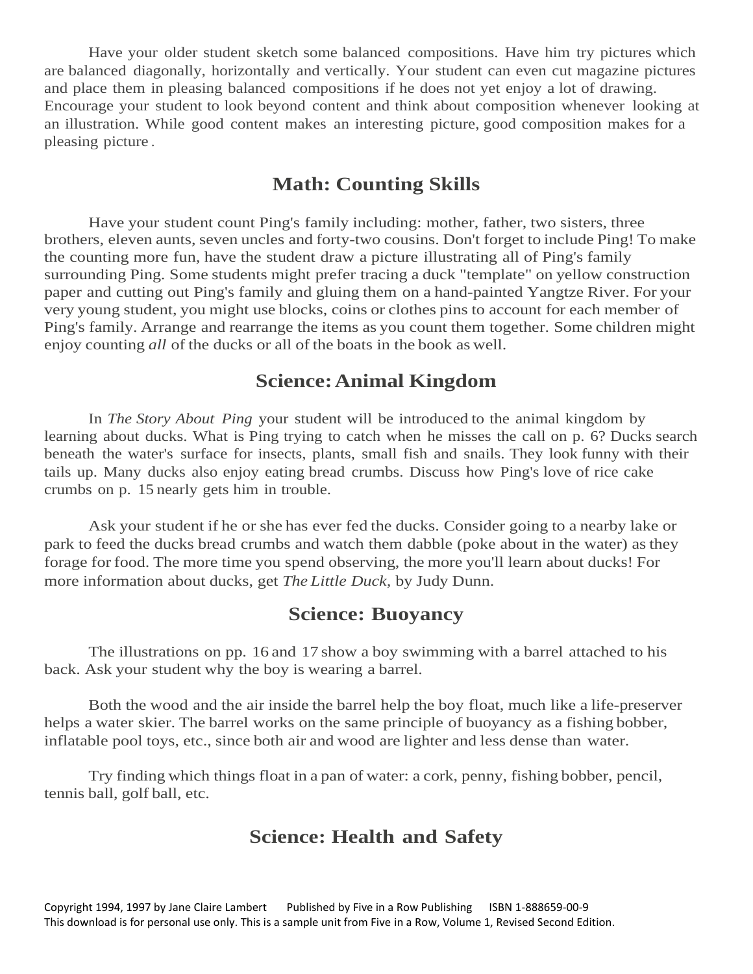Have your older student sketch some balanced compositions. Have him try pictures which are balanced diagonally, horizontally and vertically. Your student can even cut magazine pictures and place them in pleasing balanced compositions if he does not yet enjoy a lot of drawing. Encourage your student to look beyond content and think about composition whenever looking at an illustration. While good content makes an interesting picture, good composition makes for a pleasing picture .

### **Math: Counting Skills**

Have your student count Ping's family including: mother, father, two sisters, three brothers, eleven aunts, seven uncles and forty-two cousins. Don't forget to include Ping! To make the counting more fun, have the student draw a picture illustrating all of Ping's family surrounding Ping. Some students might prefer tracing a duck "template" on yellow construction paper and cutting out Ping's family and gluing them on a hand-painted Yangtze River. For your very young student, you might use blocks, coins or clothes pins to account for each member of Ping's family. Arrange and rearrange the items as you count them together. Some children might enjoy counting *all* of the ducks or all of the boats in the book as well.

### **Science:Animal Kingdom**

In *The Story About Ping* your student will be introduced to the animal kingdom by learning about ducks. What is Ping trying to catch when he misses the call on p. 6? Ducks search beneath the water's surface for insects, plants, small fish and snails. They look funny with their tails up. Many ducks also enjoy eating bread crumbs. Discuss how Ping's love of rice cake crumbs on p. 15 nearly gets him in trouble.

Ask your student if he or she has ever fed the ducks. Consider going to a nearby lake or park to feed the ducks bread crumbs and watch them dabble (poke about in the water) as they forage for food. The more time you spend observing, the more you'll learn about ducks! For more information about ducks, get *The Little Duck,* by Judy Dunn.

### **Science: Buoyancy**

The illustrations on pp. 16 and 17 show a boy swimming with a barrel attached to his back. Ask your student why the boy is wearing a barrel.

Both the wood and the air inside the barrel help the boy float, much like a life-preserver helps a water skier. The barrel works on the same principle of buoyancy as a fishing bobber, inflatable pool toys, etc., since both air and wood are lighter and less dense than water.

Try finding which things float in a pan of water: a cork, penny, fishing bobber, pencil, tennis ball, golf ball, etc.

# **Science: Health and Safety**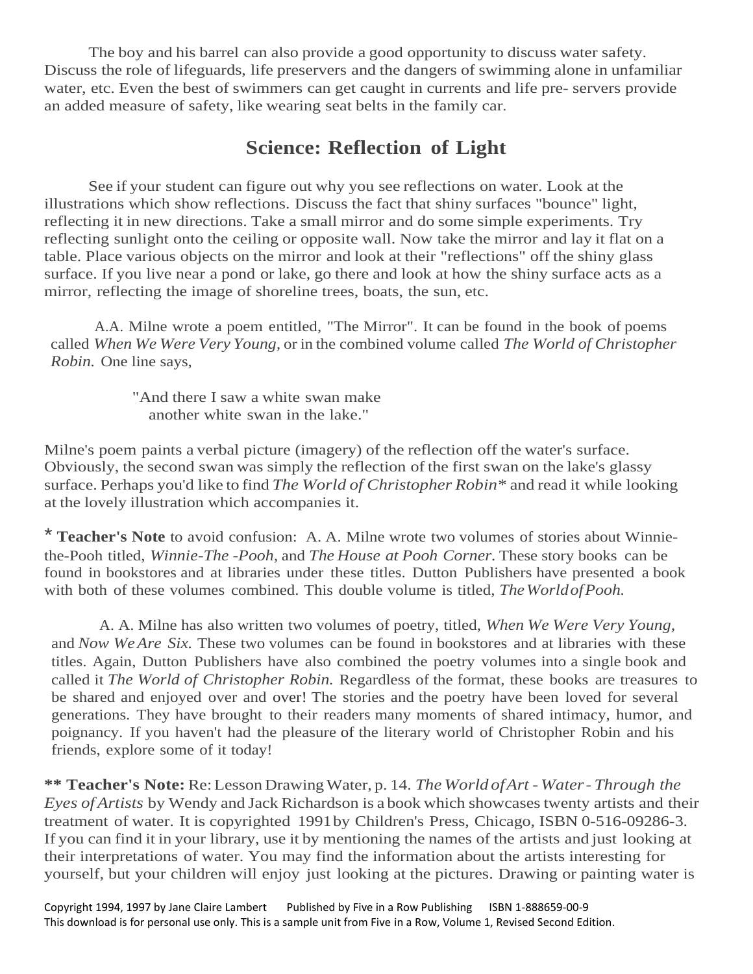The boy and his barrel can also provide a good opportunity to discuss water safety. Discuss the role of lifeguards, life preservers and the dangers of swimming alone in unfamiliar water, etc. Even the best of swimmers can get caught in currents and life pre- servers provide an added measure of safety, like wearing seat belts in the family car.

# **Science: Reflection of Light**

See if your student can figure out why you see reflections on water. Look at the illustrations which show reflections. Discuss the fact that shiny surfaces "bounce" light, reflecting it in new directions. Take a small mirror and do some simple experiments. Try reflecting sunlight onto the ceiling or opposite wall. Now take the mirror and lay it flat on a table. Place various objects on the mirror and look at their "reflections" off the shiny glass surface. If you live near a pond or lake, go there and look at how the shiny surface acts as a mirror, reflecting the image of shoreline trees, boats, the sun, etc.

A.A. Milne wrote a poem entitled, "The Mirror". It can be found in the book of poems called *When We Were Very Young,* or in the combined volume called *The World of Christopher Robin.* One line says,

> "And there I saw a white swan make another white swan in the lake."

Milne's poem paints a verbal picture (imagery) of the reflection off the water's surface. Obviously, the second swan was simply the reflection of the first swan on the lake's glassy surface. Perhaps you'd like to find *The World of Christopher Robin\** and read it while looking at the lovely illustration which accompanies it.

\* **Teacher's Note** to avoid confusion: A. A. Milne wrote two volumes of stories about Winniethe-Pooh titled, *Winnie-The -Pooh,* and *The House at Pooh Corner.* These story books can be found in bookstores and at libraries under these titles. Dutton Publishers have presented a book with both of these volumes combined. This double volume is titled, *The World of Pooh*.

A. A. Milne has also written two volumes of poetry, titled, *When We Were Very Young,* and *Now WeAre Six.* These two volumes can be found in bookstores and at libraries with these titles. Again, Dutton Publishers have also combined the poetry volumes into a single book and called it *The World of Christopher Robin.* Regardless of the format, these books are treasures to be shared and enjoyed over and over! The stories and the poetry have been loved for several generations. They have brought to their readers many moments of shared intimacy, humor, and poignancy. If you haven't had the pleasure of the literary world of Christopher Robin and his friends, explore some of it today!

**\*\* Teacher's Note:** Re:Lesson DrawingWater, p. 14. *The World ofArt* - *Water*- *Through the Eyes ofArtists* by Wendy and Jack Richardson is a book which showcases twenty artists and their treatment of water. It is copyrighted 1991by Children's Press, Chicago, ISBN 0-516-09286-3. If you can find it in your library, use it by mentioning the names of the artists and just looking at their interpretations of water. You may find the information about the artists interesting for yourself, but your children will enjoy just looking at the pictures. Drawing or painting water is